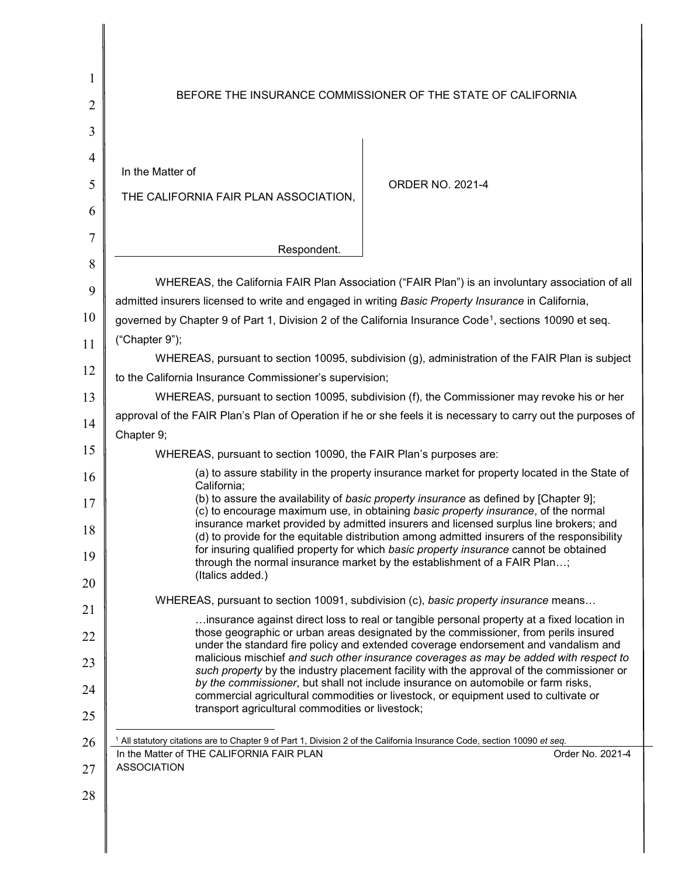| 1<br>2                             | BEFORE THE INSURANCE COMMISSIONER OF THE STATE OF CALIFORNIA                                                                                                                                                                                                         |  |  |  |  |  |
|------------------------------------|----------------------------------------------------------------------------------------------------------------------------------------------------------------------------------------------------------------------------------------------------------------------|--|--|--|--|--|
| 3<br>$\overline{4}$<br>5<br>6<br>7 | In the Matter of<br><b>ORDER NO. 2021-4</b><br>THE CALIFORNIA FAIR PLAN ASSOCIATION,                                                                                                                                                                                 |  |  |  |  |  |
|                                    | Respondent.                                                                                                                                                                                                                                                          |  |  |  |  |  |
| 8<br>9<br>10                       | WHEREAS, the California FAIR Plan Association ("FAIR Plan") is an involuntary association of all<br>admitted insurers licensed to write and engaged in writing Basic Property Insurance in California,                                                               |  |  |  |  |  |
|                                    | governed by Chapter 9 of Part 1, Division 2 of the California Insurance Code <sup>1</sup> , sections 10090 et seq.<br>("Chapter 9");                                                                                                                                 |  |  |  |  |  |
| 11                                 | WHEREAS, pursuant to section 10095, subdivision (g), administration of the FAIR Plan is subject                                                                                                                                                                      |  |  |  |  |  |
| 12                                 | to the California Insurance Commissioner's supervision;                                                                                                                                                                                                              |  |  |  |  |  |
| 13                                 | WHEREAS, pursuant to section 10095, subdivision (f), the Commissioner may revoke his or her                                                                                                                                                                          |  |  |  |  |  |
| 14                                 | approval of the FAIR Plan's Plan of Operation if he or she feels it is necessary to carry out the purposes of                                                                                                                                                        |  |  |  |  |  |
| 15                                 | Chapter 9;                                                                                                                                                                                                                                                           |  |  |  |  |  |
|                                    | WHEREAS, pursuant to section 10090, the FAIR Plan's purposes are:                                                                                                                                                                                                    |  |  |  |  |  |
| 16                                 | (a) to assure stability in the property insurance market for property located in the State of<br>California;                                                                                                                                                         |  |  |  |  |  |
| 17                                 | (b) to assure the availability of basic property insurance as defined by [Chapter 9];<br>(c) to encourage maximum use, in obtaining basic property insurance, of the normal<br>insurance market provided by admitted insurers and licensed surplus line brokers; and |  |  |  |  |  |
| 18                                 | (d) to provide for the equitable distribution among admitted insurers of the responsibility<br>for insuring qualified property for which basic property insurance cannot be obtained                                                                                 |  |  |  |  |  |
| 19<br>20                           | through the normal insurance market by the establishment of a FAIR Plan;<br>(Italics added.)                                                                                                                                                                         |  |  |  |  |  |
|                                    | WHEREAS, pursuant to section 10091, subdivision (c), basic property insurance means                                                                                                                                                                                  |  |  |  |  |  |
| 21                                 | insurance against direct loss to real or tangible personal property at a fixed location in<br>those geographic or urban areas designated by the commissioner, from perils insured                                                                                    |  |  |  |  |  |
| 22                                 | under the standard fire policy and extended coverage endorsement and vandalism and<br>malicious mischief and such other insurance coverages as may be added with respect to                                                                                          |  |  |  |  |  |
| 23                                 | such property by the industry placement facility with the approval of the commissioner or<br>by the commissioner, but shall not include insurance on automobile or farm risks,                                                                                       |  |  |  |  |  |
| 24<br>25                           | commercial agricultural commodities or livestock, or equipment used to cultivate or<br>transport agricultural commodities or livestock;                                                                                                                              |  |  |  |  |  |
| 26                                 | <sup>1</sup> All statutory citations are to Chapter 9 of Part 1, Division 2 of the California Insurance Code, section 10090 et seq.                                                                                                                                  |  |  |  |  |  |
| 27                                 | In the Matter of THE CALIFORNIA FAIR PLAN<br>Order No. 2021-4<br><b>ASSOCIATION</b>                                                                                                                                                                                  |  |  |  |  |  |
| 28                                 |                                                                                                                                                                                                                                                                      |  |  |  |  |  |

<span id="page-0-0"></span>║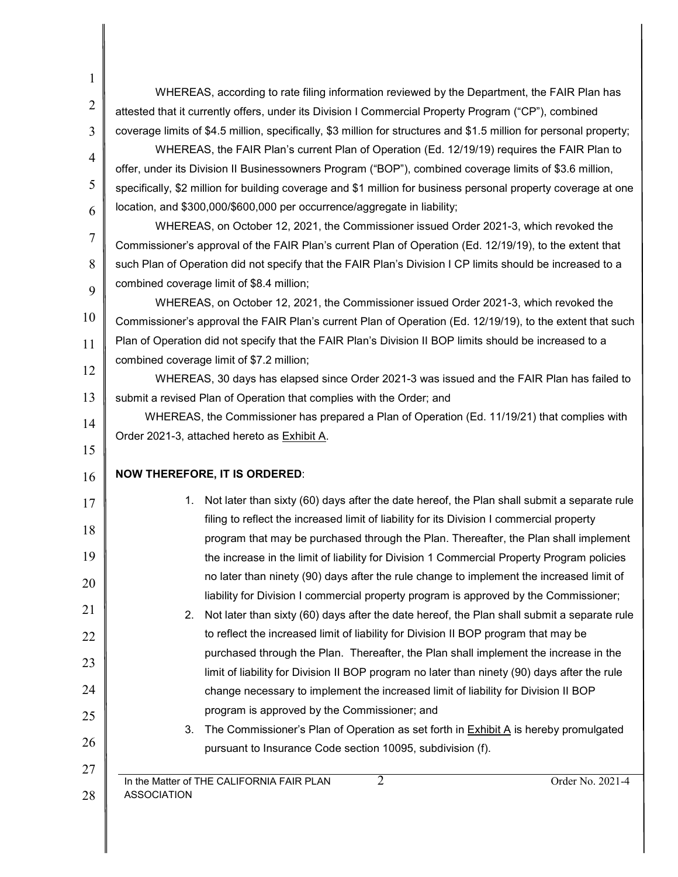| 1              |                                                                                                                     |  |  |  |  |  |
|----------------|---------------------------------------------------------------------------------------------------------------------|--|--|--|--|--|
|                | WHEREAS, according to rate filing information reviewed by the Department, the FAIR Plan has                         |  |  |  |  |  |
| $\overline{2}$ | attested that it currently offers, under its Division I Commercial Property Program ("CP"), combined                |  |  |  |  |  |
| 3              | coverage limits of \$4.5 million, specifically, \$3 million for structures and \$1.5 million for personal property; |  |  |  |  |  |
| 4              | WHEREAS, the FAIR Plan's current Plan of Operation (Ed. 12/19/19) requires the FAIR Plan to                         |  |  |  |  |  |
|                | offer, under its Division II Businessowners Program ("BOP"), combined coverage limits of \$3.6 million,             |  |  |  |  |  |
| 5              | specifically, \$2 million for building coverage and \$1 million for business personal property coverage at one      |  |  |  |  |  |
| 6              | location, and \$300,000/\$600,000 per occurrence/aggregate in liability;                                            |  |  |  |  |  |
| 7              | WHEREAS, on October 12, 2021, the Commissioner issued Order 2021-3, which revoked the                               |  |  |  |  |  |
|                | Commissioner's approval of the FAIR Plan's current Plan of Operation (Ed. 12/19/19), to the extent that             |  |  |  |  |  |
| 8              | such Plan of Operation did not specify that the FAIR Plan's Division I CP limits should be increased to a           |  |  |  |  |  |
| 9              | combined coverage limit of \$8.4 million;                                                                           |  |  |  |  |  |
|                | WHEREAS, on October 12, 2021, the Commissioner issued Order 2021-3, which revoked the                               |  |  |  |  |  |
| 10             | Commissioner's approval the FAIR Plan's current Plan of Operation (Ed. 12/19/19), to the extent that such           |  |  |  |  |  |
| 11             | Plan of Operation did not specify that the FAIR Plan's Division II BOP limits should be increased to a              |  |  |  |  |  |
| 12             | combined coverage limit of \$7.2 million;                                                                           |  |  |  |  |  |
| 13             | WHEREAS, 30 days has elapsed since Order 2021-3 was issued and the FAIR Plan has failed to                          |  |  |  |  |  |
|                | submit a revised Plan of Operation that complies with the Order; and                                                |  |  |  |  |  |
| 14             | WHEREAS, the Commissioner has prepared a Plan of Operation (Ed. 11/19/21) that complies with                        |  |  |  |  |  |
| 15             | Order 2021-3, attached hereto as Exhibit A.                                                                         |  |  |  |  |  |
| 16             | <b>NOW THEREFORE, IT IS ORDERED:</b>                                                                                |  |  |  |  |  |
|                | Not later than sixty (60) days after the date hereof, the Plan shall submit a separate rule<br>1.                   |  |  |  |  |  |
|                | filing to reflect the increased limit of liability for its Division I commercial property                           |  |  |  |  |  |
|                | program that may be purchased through the Plan. Thereafter, the Plan shall implement                                |  |  |  |  |  |
| 19             | the increase in the limit of liability for Division 1 Commercial Property Program policies                          |  |  |  |  |  |
|                | no later than ninety (90) days after the rule change to implement the increased limit of                            |  |  |  |  |  |
|                | liability for Division I commercial property program is approved by the Commissioner;                               |  |  |  |  |  |
|                | Not later than sixty (60) days after the date hereof, the Plan shall submit a separate rule<br>2.                   |  |  |  |  |  |
|                | to reflect the increased limit of liability for Division II BOP program that may be                                 |  |  |  |  |  |
|                | purchased through the Plan. Thereafter, the Plan shall implement the increase in the                                |  |  |  |  |  |
| 23             | limit of liability for Division II BOP program no later than ninety (90) days after the rule                        |  |  |  |  |  |
|                | change necessary to implement the increased limit of liability for Division II BOP                                  |  |  |  |  |  |
|                | program is approved by the Commissioner; and                                                                        |  |  |  |  |  |
|                | The Commissioner's Plan of Operation as set forth in Exhibit A is hereby promulgated<br>3.                          |  |  |  |  |  |
|                | pursuant to Insurance Code section 10095, subdivision (f).                                                          |  |  |  |  |  |
|                | $\overline{2}$<br>Order No. 2021-4<br>In the Matter of THE CALIFORNIA FAIR PLAN                                     |  |  |  |  |  |
|                | <b>ASSOCIATION</b>                                                                                                  |  |  |  |  |  |
|                |                                                                                                                     |  |  |  |  |  |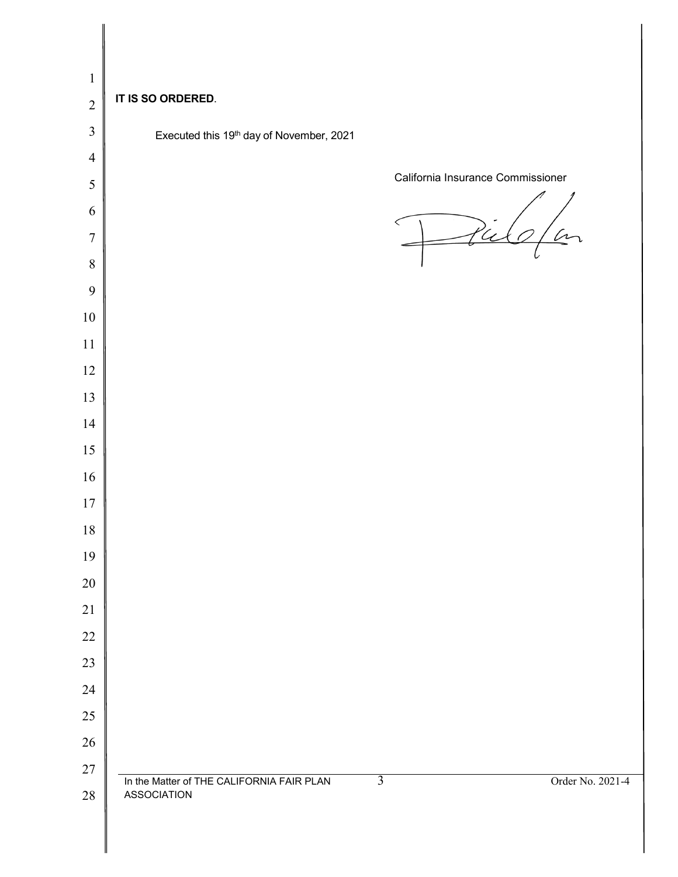| $\mathbf{1}$   |                                                                                                       |
|----------------|-------------------------------------------------------------------------------------------------------|
| $\overline{2}$ | IT IS SO ORDERED.                                                                                     |
| $\mathfrak{Z}$ | Executed this 19th day of November, 2021                                                              |
| $\overline{4}$ |                                                                                                       |
| $\sqrt{5}$     | California Insurance Commissioner                                                                     |
| 6              |                                                                                                       |
| $\overline{7}$ | )<br>U                                                                                                |
| $\,8\,$        |                                                                                                       |
| 9              |                                                                                                       |
| $10\,$         |                                                                                                       |
| 11             |                                                                                                       |
| 12             |                                                                                                       |
| 13             |                                                                                                       |
| 14             |                                                                                                       |
| 15             |                                                                                                       |
| 16             |                                                                                                       |
| $17$           |                                                                                                       |
| $18\,$         |                                                                                                       |
| 19             |                                                                                                       |
| 20<br>21       |                                                                                                       |
| 22             |                                                                                                       |
| 23             |                                                                                                       |
| 24             |                                                                                                       |
| 25             |                                                                                                       |
| 26             |                                                                                                       |
| $27\,$         |                                                                                                       |
| $28\,$         | $\overline{3}$<br>Order No. 2021-4<br>In the Matter of THE CALIFORNIA FAIR PLAN<br><b>ASSOCIATION</b> |
|                |                                                                                                       |
|                |                                                                                                       |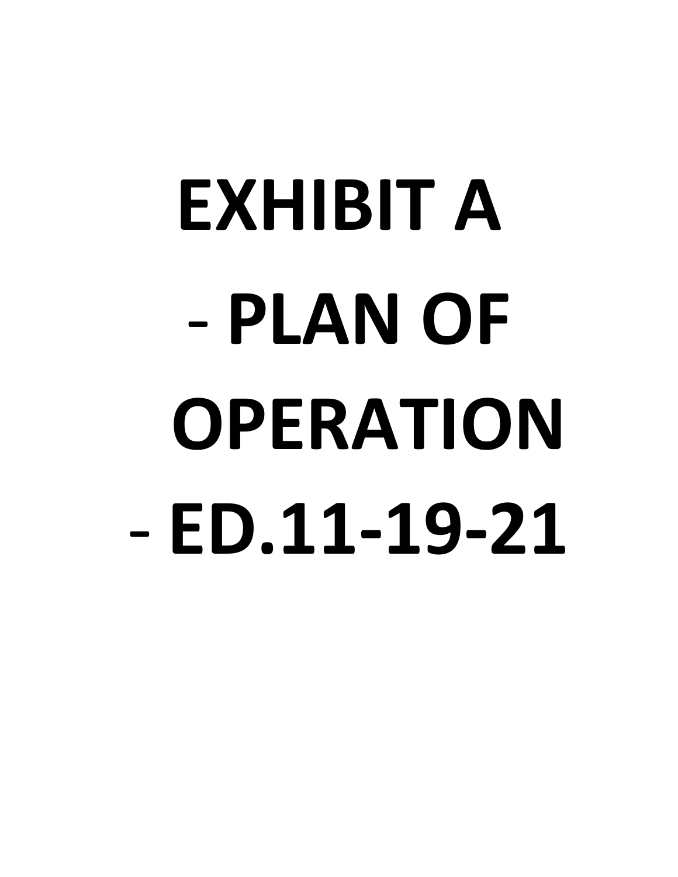# **EXHIBIT A** - **PLAN OF OPERATION** - **ED.11-19-21**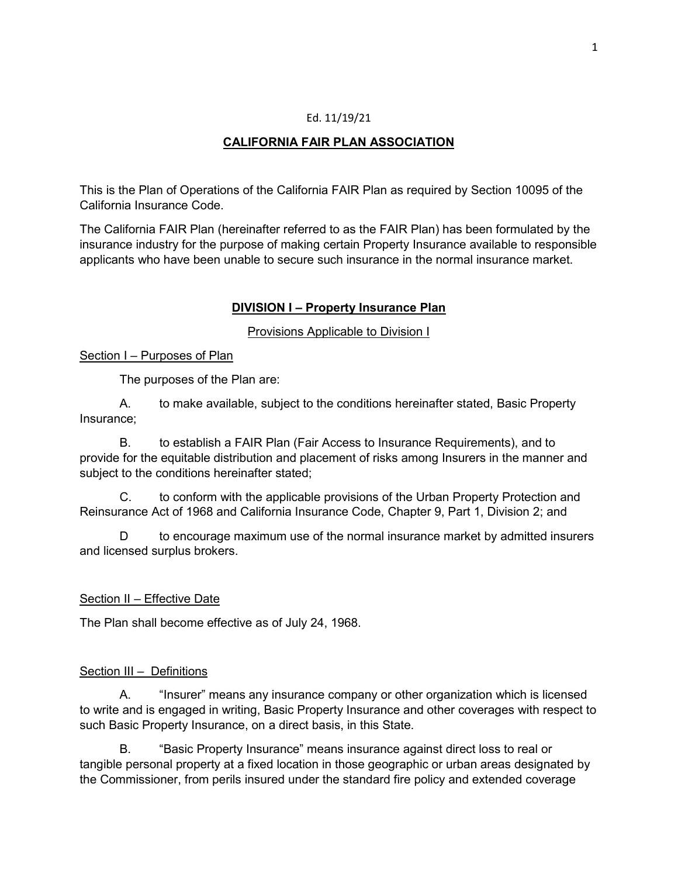#### Ed. 11/19/21

## **CALIFORNIA FAIR PLAN ASSOCIATION**

This is the Plan of Operations of the California FAIR Plan as required by Section 10095 of the California Insurance Code.

The California FAIR Plan (hereinafter referred to as the FAIR Plan) has been formulated by the insurance industry for the purpose of making certain Property Insurance available to responsible applicants who have been unable to secure such insurance in the normal insurance market.

#### **DIVISION I – Property Insurance Plan**

Provisions Applicable to Division I

Section I – Purposes of Plan

The purposes of the Plan are:

A. to make available, subject to the conditions hereinafter stated, Basic Property Insurance;

B. to establish a FAIR Plan (Fair Access to Insurance Requirements), and to provide for the equitable distribution and placement of risks among Insurers in the manner and subject to the conditions hereinafter stated;

C. to conform with the applicable provisions of the Urban Property Protection and Reinsurance Act of 1968 and California Insurance Code, Chapter 9, Part 1, Division 2; and

D to encourage maximum use of the normal insurance market by admitted insurers and licensed surplus brokers.

## Section II – Effective Date

The Plan shall become effective as of July 24, 1968.

#### Section III – Definitions

A. "Insurer" means any insurance company or other organization which is licensed to write and is engaged in writing, Basic Property Insurance and other coverages with respect to such Basic Property Insurance, on a direct basis, in this State.

B. "Basic Property Insurance" means insurance against direct loss to real or tangible personal property at a fixed location in those geographic or urban areas designated by the Commissioner, from perils insured under the standard fire policy and extended coverage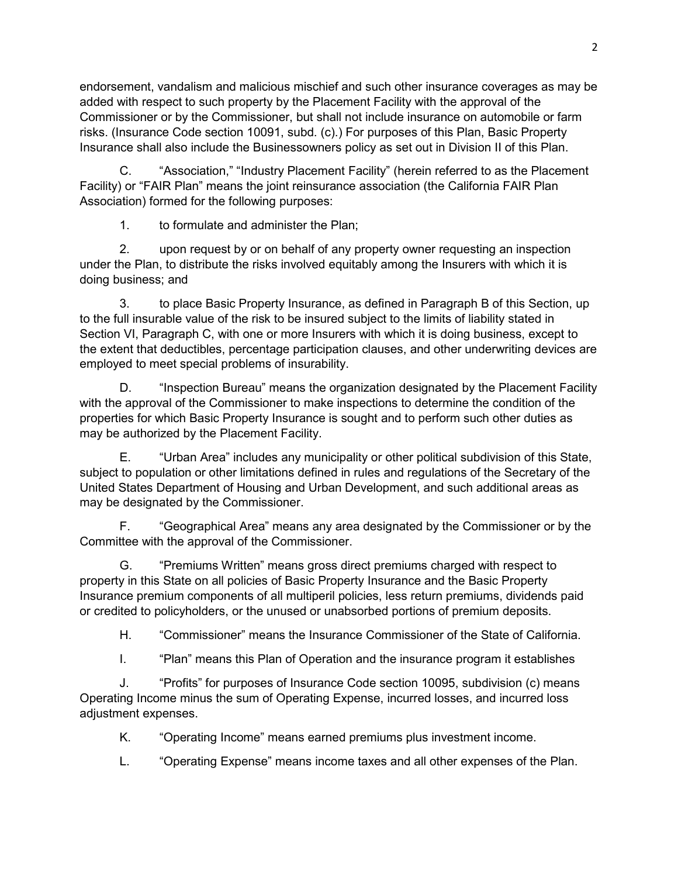endorsement, vandalism and malicious mischief and such other insurance coverages as may be added with respect to such property by the Placement Facility with the approval of the Commissioner or by the Commissioner, but shall not include insurance on automobile or farm risks. (Insurance Code section 10091, subd. (c).) For purposes of this Plan, Basic Property Insurance shall also include the Businessowners policy as set out in Division II of this Plan.

C. "Association," "Industry Placement Facility" (herein referred to as the Placement Facility) or "FAIR Plan" means the joint reinsurance association (the California FAIR Plan Association) formed for the following purposes:

1. to formulate and administer the Plan;

2. upon request by or on behalf of any property owner requesting an inspection under the Plan, to distribute the risks involved equitably among the Insurers with which it is doing business; and

3. to place Basic Property Insurance, as defined in Paragraph B of this Section, up to the full insurable value of the risk to be insured subject to the limits of liability stated in Section VI, Paragraph C, with one or more Insurers with which it is doing business, except to the extent that deductibles, percentage participation clauses, and other underwriting devices are employed to meet special problems of insurability.

D. "Inspection Bureau" means the organization designated by the Placement Facility with the approval of the Commissioner to make inspections to determine the condition of the properties for which Basic Property Insurance is sought and to perform such other duties as may be authorized by the Placement Facility.

E. "Urban Area" includes any municipality or other political subdivision of this State, subject to population or other limitations defined in rules and regulations of the Secretary of the United States Department of Housing and Urban Development, and such additional areas as may be designated by the Commissioner.

F. "Geographical Area" means any area designated by the Commissioner or by the Committee with the approval of the Commissioner.

G. "Premiums Written" means gross direct premiums charged with respect to property in this State on all policies of Basic Property Insurance and the Basic Property Insurance premium components of all multiperil policies, less return premiums, dividends paid or credited to policyholders, or the unused or unabsorbed portions of premium deposits.

H. "Commissioner" means the Insurance Commissioner of the State of California.

I. "Plan" means this Plan of Operation and the insurance program it establishes

J. "Profits" for purposes of Insurance Code section 10095, subdivision (c) means Operating Income minus the sum of Operating Expense, incurred losses, and incurred loss adjustment expenses.

K. "Operating Income" means earned premiums plus investment income.

L. "Operating Expense" means income taxes and all other expenses of the Plan.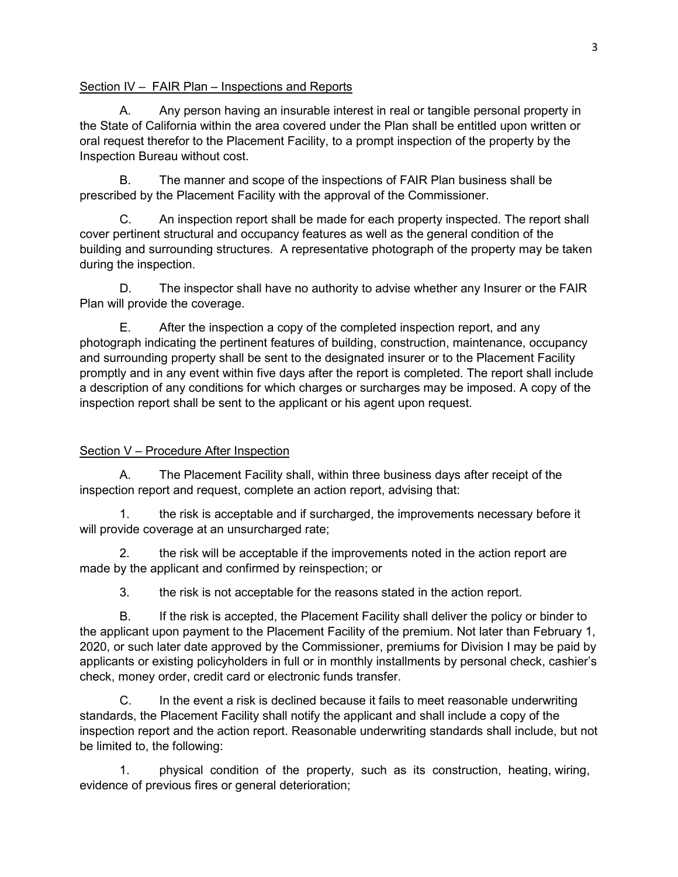#### Section IV – FAIR Plan – Inspections and Reports

A. Any person having an insurable interest in real or tangible personal property in the State of California within the area covered under the Plan shall be entitled upon written or oral request therefor to the Placement Facility, to a prompt inspection of the property by the Inspection Bureau without cost.

B. The manner and scope of the inspections of FAIR Plan business shall be prescribed by the Placement Facility with the approval of the Commissioner.

C. An inspection report shall be made for each property inspected. The report shall cover pertinent structural and occupancy features as well as the general condition of the building and surrounding structures. A representative photograph of the property may be taken during the inspection.

D. The inspector shall have no authority to advise whether any Insurer or the FAIR Plan will provide the coverage.

E. After the inspection a copy of the completed inspection report, and any photograph indicating the pertinent features of building, construction, maintenance, occupancy and surrounding property shall be sent to the designated insurer or to the Placement Facility promptly and in any event within five days after the report is completed. The report shall include a description of any conditions for which charges or surcharges may be imposed. A copy of the inspection report shall be sent to the applicant or his agent upon request.

## Section V – Procedure After Inspection

A. The Placement Facility shall, within three business days after receipt of the inspection report and request, complete an action report, advising that:

1. the risk is acceptable and if surcharged, the improvements necessary before it will provide coverage at an unsurcharged rate;

2. the risk will be acceptable if the improvements noted in the action report are made by the applicant and confirmed by reinspection; or

3. the risk is not acceptable for the reasons stated in the action report.

B. If the risk is accepted, the Placement Facility shall deliver the policy or binder to the applicant upon payment to the Placement Facility of the premium. Not later than February 1, 2020, or such later date approved by the Commissioner, premiums for Division I may be paid by applicants or existing policyholders in full or in monthly installments by personal check, cashier's check, money order, credit card or electronic funds transfer.

C. In the event a risk is declined because it fails to meet reasonable underwriting standards, the Placement Facility shall notify the applicant and shall include a copy of the inspection report and the action report. Reasonable underwriting standards shall include, but not be limited to, the following:

1. physical condition of the property, such as its construction, heating, wiring, evidence of previous fires or general deterioration;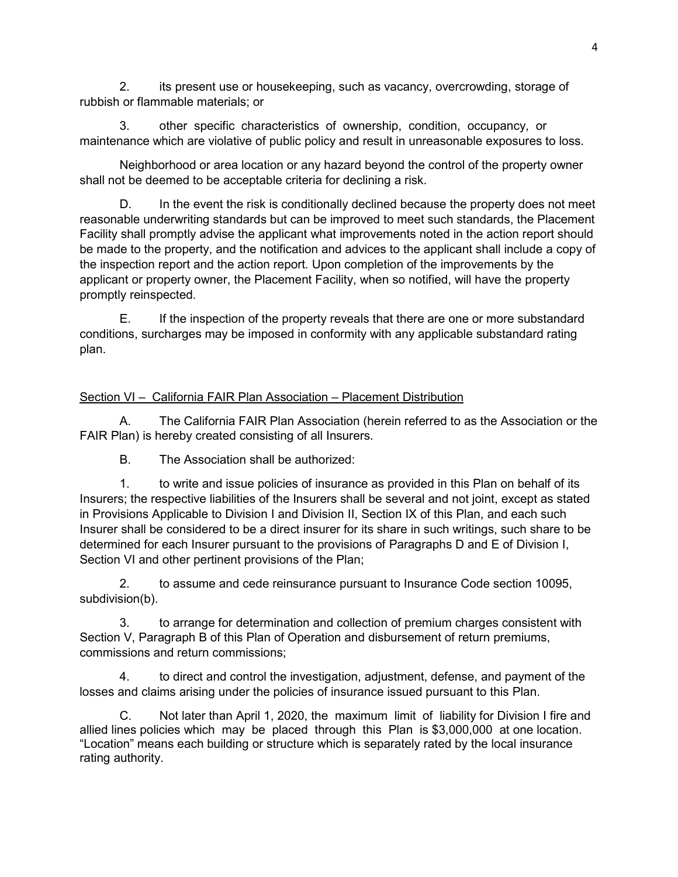2. its present use or housekeeping, such as vacancy, overcrowding, storage of rubbish or flammable materials; or

3. other specific characteristics of ownership, condition, occupancy, or maintenance which are violative of public policy and result in unreasonable exposures to loss.

Neighborhood or area location or any hazard beyond the control of the property owner shall not be deemed to be acceptable criteria for declining a risk.

D. In the event the risk is conditionally declined because the property does not meet reasonable underwriting standards but can be improved to meet such standards, the Placement Facility shall promptly advise the applicant what improvements noted in the action report should be made to the property, and the notification and advices to the applicant shall include a copy of the inspection report and the action report. Upon completion of the improvements by the applicant or property owner, the Placement Facility, when so notified, will have the property promptly reinspected.

E. If the inspection of the property reveals that there are one or more substandard conditions, surcharges may be imposed in conformity with any applicable substandard rating plan.

# Section VI – California FAIR Plan Association – Placement Distribution

A. The California FAIR Plan Association (herein referred to as the Association or the FAIR Plan) is hereby created consisting of all Insurers.

B. The Association shall be authorized:

1. to write and issue policies of insurance as provided in this Plan on behalf of its Insurers; the respective liabilities of the Insurers shall be several and not joint, except as stated in Provisions Applicable to Division I and Division II, Section IX of this Plan, and each such Insurer shall be considered to be a direct insurer for its share in such writings, such share to be determined for each Insurer pursuant to the provisions of Paragraphs D and E of Division I, Section VI and other pertinent provisions of the Plan;

2. to assume and cede reinsurance pursuant to Insurance Code section 10095, subdivision(b).

3. to arrange for determination and collection of premium charges consistent with Section V, Paragraph B of this Plan of Operation and disbursement of return premiums, commissions and return commissions;

4. to direct and control the investigation, adjustment, defense, and payment of the losses and claims arising under the policies of insurance issued pursuant to this Plan.

C. Not later than April 1, 2020, the maximum limit of liability for Division I fire and allied lines policies which may be placed through this Plan is \$3,000,000 at one location. "Location" means each building or structure which is separately rated by the local insurance rating authority.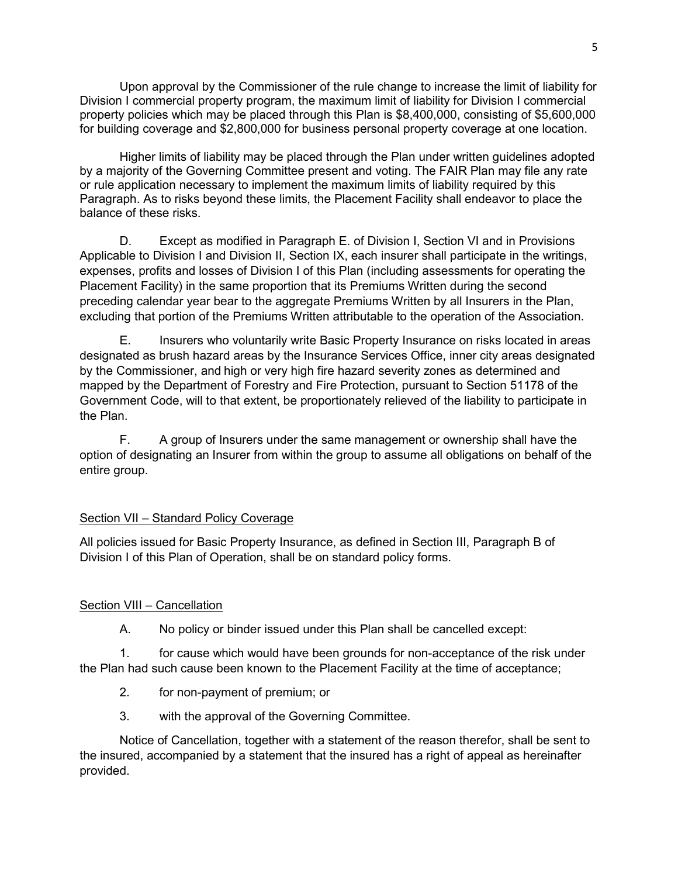Upon approval by the Commissioner of the rule change to increase the limit of liability for Division I commercial property program, the maximum limit of liability for Division I commercial property policies which may be placed through this Plan is \$8,400,000, consisting of \$5,600,000 for building coverage and \$2,800,000 for business personal property coverage at one location.

Higher limits of liability may be placed through the Plan under written guidelines adopted by a majority of the Governing Committee present and voting. The FAIR Plan may file any rate or rule application necessary to implement the maximum limits of liability required by this Paragraph. As to risks beyond these limits, the Placement Facility shall endeavor to place the balance of these risks.

D. Except as modified in Paragraph E. of Division I, Section VI and in Provisions Applicable to Division I and Division II, Section IX, each insurer shall participate in the writings, expenses, profits and losses of Division I of this Plan (including assessments for operating the Placement Facility) in the same proportion that its Premiums Written during the second preceding calendar year bear to the aggregate Premiums Written by all Insurers in the Plan, excluding that portion of the Premiums Written attributable to the operation of the Association.

E. Insurers who voluntarily write Basic Property Insurance on risks located in areas designated as brush hazard areas by the Insurance Services Office, inner city areas designated by the Commissioner, and high or very high fire hazard severity zones as determined and mapped by the Department of Forestry and Fire Protection, pursuant to Section 51178 of the Government Code, will to that extent, be proportionately relieved of the liability to participate in the Plan.

F. A group of Insurers under the same management or ownership shall have the option of designating an Insurer from within the group to assume all obligations on behalf of the entire group.

## Section VII – Standard Policy Coverage

All policies issued for Basic Property Insurance, as defined in Section III, Paragraph B of Division I of this Plan of Operation, shall be on standard policy forms.

## Section VIII – Cancellation

A. No policy or binder issued under this Plan shall be cancelled except:

1. for cause which would have been grounds for non-acceptance of the risk under the Plan had such cause been known to the Placement Facility at the time of acceptance;

- 2. for non-payment of premium; or
- 3. with the approval of the Governing Committee.

Notice of Cancellation, together with a statement of the reason therefor, shall be sent to the insured, accompanied by a statement that the insured has a right of appeal as hereinafter provided.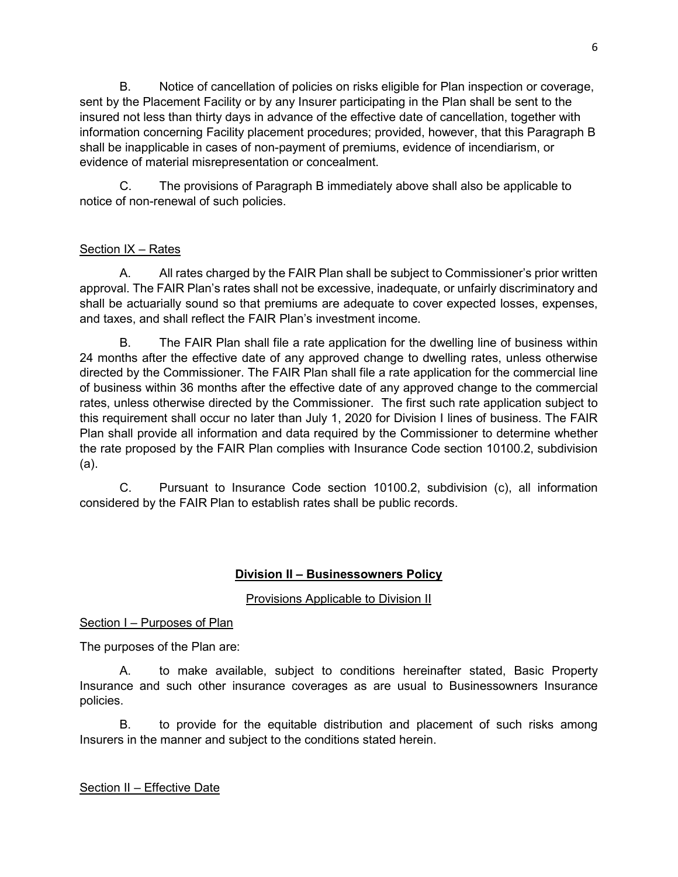B. Notice of cancellation of policies on risks eligible for Plan inspection or coverage, sent by the Placement Facility or by any Insurer participating in the Plan shall be sent to the insured not less than thirty days in advance of the effective date of cancellation, together with information concerning Facility placement procedures; provided, however, that this Paragraph B shall be inapplicable in cases of non-payment of premiums, evidence of incendiarism, or evidence of material misrepresentation or concealment.

C. The provisions of Paragraph B immediately above shall also be applicable to notice of non-renewal of such policies.

# Section IX – Rates

A. All rates charged by the FAIR Plan shall be subject to Commissioner's prior written approval. The FAIR Plan's rates shall not be excessive, inadequate, or unfairly discriminatory and shall be actuarially sound so that premiums are adequate to cover expected losses, expenses, and taxes, and shall reflect the FAIR Plan's investment income.

B. The FAIR Plan shall file a rate application for the dwelling line of business within 24 months after the effective date of any approved change to dwelling rates, unless otherwise directed by the Commissioner. The FAIR Plan shall file a rate application for the commercial line of business within 36 months after the effective date of any approved change to the commercial rates, unless otherwise directed by the Commissioner. The first such rate application subject to this requirement shall occur no later than July 1, 2020 for Division I lines of business. The FAIR Plan shall provide all information and data required by the Commissioner to determine whether the rate proposed by the FAIR Plan complies with Insurance Code section 10100.2, subdivision (a).

C. Pursuant to Insurance Code section 10100.2, subdivision (c), all information considered by the FAIR Plan to establish rates shall be public records.

# **Division II – Businessowners Policy**

## Provisions Applicable to Division II

#### Section I – Purposes of Plan

The purposes of the Plan are:

A. to make available, subject to conditions hereinafter stated, Basic Property Insurance and such other insurance coverages as are usual to Businessowners Insurance policies.

B. to provide for the equitable distribution and placement of such risks among Insurers in the manner and subject to the conditions stated herein.

## Section II – Effective Date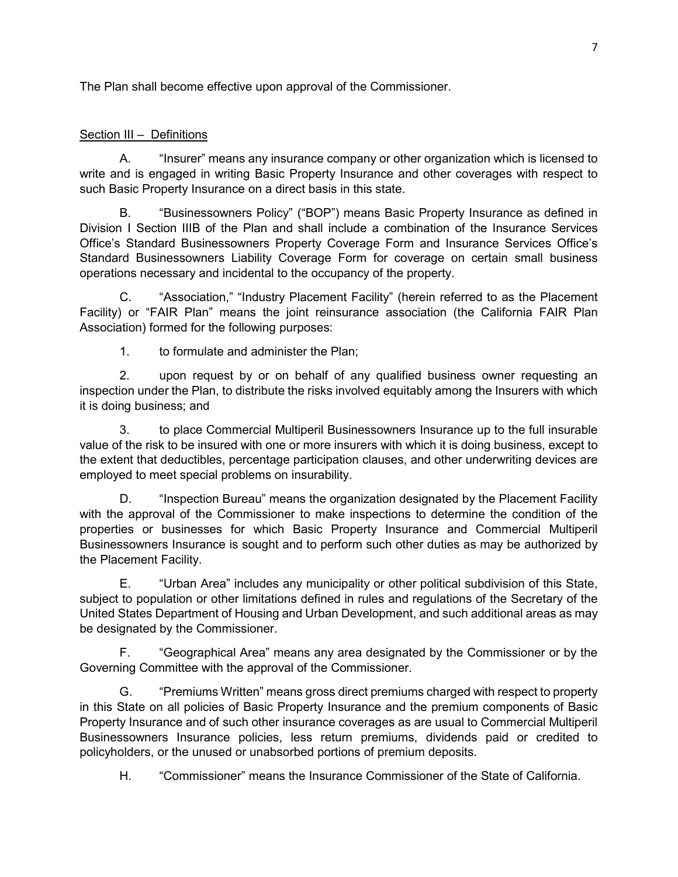The Plan shall become effective upon approval of the Commissioner.

## Section III – Definitions

A. "Insurer" means any insurance company or other organization which is licensed to write and is engaged in writing Basic Property Insurance and other coverages with respect to such Basic Property Insurance on a direct basis in this state.

B. "Businessowners Policy" ("BOP") means Basic Property Insurance as defined in Division I Section IIIB of the Plan and shall include a combination of the Insurance Services Office's Standard Businessowners Property Coverage Form and Insurance Services Office's Standard Businessowners Liability Coverage Form for coverage on certain small business operations necessary and incidental to the occupancy of the property.

C. "Association," "Industry Placement Facility" (herein referred to as the Placement Facility) or "FAIR Plan" means the joint reinsurance association (the California FAIR Plan Association) formed for the following purposes:

1. to formulate and administer the Plan;

2. upon request by or on behalf of any qualified business owner requesting an inspection under the Plan, to distribute the risks involved equitably among the Insurers with which it is doing business; and

3. to place Commercial Multiperil Businessowners Insurance up to the full insurable value of the risk to be insured with one or more insurers with which it is doing business, except to the extent that deductibles, percentage participation clauses, and other underwriting devices are employed to meet special problems on insurability.

D. "Inspection Bureau" means the organization designated by the Placement Facility with the approval of the Commissioner to make inspections to determine the condition of the properties or businesses for which Basic Property Insurance and Commercial Multiperil Businessowners Insurance is sought and to perform such other duties as may be authorized by the Placement Facility.

E. "Urban Area" includes any municipality or other political subdivision of this State, subject to population or other limitations defined in rules and regulations of the Secretary of the United States Department of Housing and Urban Development, and such additional areas as may be designated by the Commissioner.

F. "Geographical Area" means any area designated by the Commissioner or by the Governing Committee with the approval of the Commissioner.

G. "Premiums Written" means gross direct premiums charged with respect to property in this State on all policies of Basic Property Insurance and the premium components of Basic Property Insurance and of such other insurance coverages as are usual to Commercial Multiperil Businessowners Insurance policies, less return premiums, dividends paid or credited to policyholders, or the unused or unabsorbed portions of premium deposits.

H. "Commissioner" means the Insurance Commissioner of the State of California.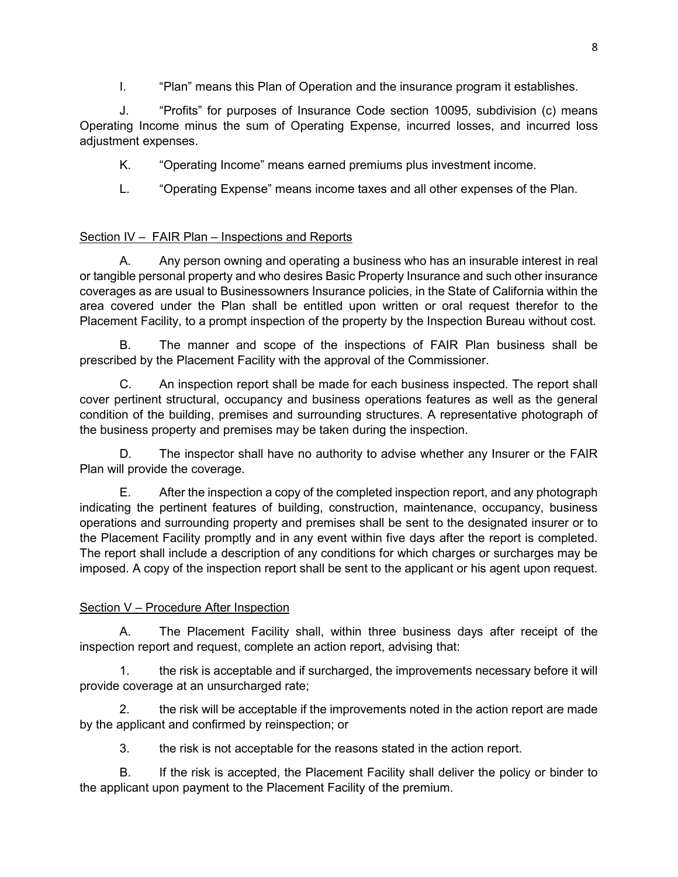I. "Plan" means this Plan of Operation and the insurance program it establishes.

J. "Profits" for purposes of Insurance Code section 10095, subdivision (c) means Operating Income minus the sum of Operating Expense, incurred losses, and incurred loss adjustment expenses.

K. "Operating Income" means earned premiums plus investment income.

L. "Operating Expense" means income taxes and all other expenses of the Plan.

# Section IV - FAIR Plan - Inspections and Reports

A. Any person owning and operating a business who has an insurable interest in real or tangible personal property and who desires Basic Property Insurance and such other insurance coverages as are usual to Businessowners Insurance policies, in the State of California within the area covered under the Plan shall be entitled upon written or oral request therefor to the Placement Facility, to a prompt inspection of the property by the Inspection Bureau without cost.

B. The manner and scope of the inspections of FAIR Plan business shall be prescribed by the Placement Facility with the approval of the Commissioner.

C. An inspection report shall be made for each business inspected. The report shall cover pertinent structural, occupancy and business operations features as well as the general condition of the building, premises and surrounding structures. A representative photograph of the business property and premises may be taken during the inspection.

D. The inspector shall have no authority to advise whether any Insurer or the FAIR Plan will provide the coverage.

E. After the inspection a copy of the completed inspection report, and any photograph indicating the pertinent features of building, construction, maintenance, occupancy, business operations and surrounding property and premises shall be sent to the designated insurer or to the Placement Facility promptly and in any event within five days after the report is completed. The report shall include a description of any conditions for which charges or surcharges may be imposed. A copy of the inspection report shall be sent to the applicant or his agent upon request.

# Section V – Procedure After Inspection

A. The Placement Facility shall, within three business days after receipt of the inspection report and request, complete an action report, advising that:

1. the risk is acceptable and if surcharged, the improvements necessary before it will provide coverage at an unsurcharged rate;

2. the risk will be acceptable if the improvements noted in the action report are made by the applicant and confirmed by reinspection; or

3. the risk is not acceptable for the reasons stated in the action report.

B. If the risk is accepted, the Placement Facility shall deliver the policy or binder to the applicant upon payment to the Placement Facility of the premium.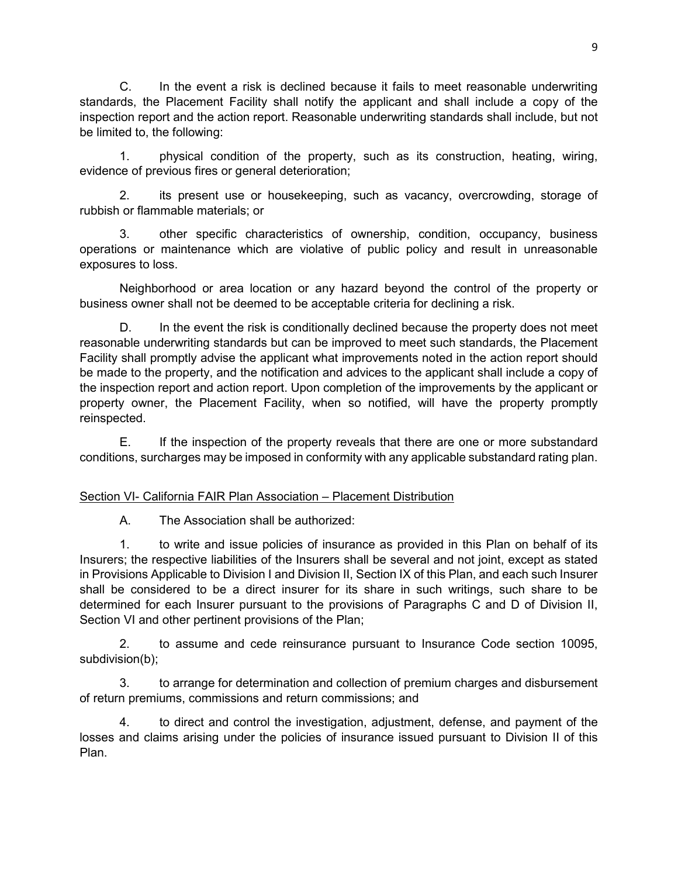C. In the event a risk is declined because it fails to meet reasonable underwriting standards, the Placement Facility shall notify the applicant and shall include a copy of the inspection report and the action report. Reasonable underwriting standards shall include, but not be limited to, the following:

1. physical condition of the property, such as its construction, heating, wiring, evidence of previous fires or general deterioration;

2. its present use or housekeeping, such as vacancy, overcrowding, storage of rubbish or flammable materials; or

3. other specific characteristics of ownership, condition, occupancy, business operations or maintenance which are violative of public policy and result in unreasonable exposures to loss.

Neighborhood or area location or any hazard beyond the control of the property or business owner shall not be deemed to be acceptable criteria for declining a risk.

D. In the event the risk is conditionally declined because the property does not meet reasonable underwriting standards but can be improved to meet such standards, the Placement Facility shall promptly advise the applicant what improvements noted in the action report should be made to the property, and the notification and advices to the applicant shall include a copy of the inspection report and action report. Upon completion of the improvements by the applicant or property owner, the Placement Facility, when so notified, will have the property promptly reinspected.

E. If the inspection of the property reveals that there are one or more substandard conditions, surcharges may be imposed in conformity with any applicable substandard rating plan.

# Section VI- California FAIR Plan Association – Placement Distribution

A. The Association shall be authorized:

1. to write and issue policies of insurance as provided in this Plan on behalf of its Insurers; the respective liabilities of the Insurers shall be several and not joint, except as stated in Provisions Applicable to Division I and Division II, Section IX of this Plan, and each such Insurer shall be considered to be a direct insurer for its share in such writings, such share to be determined for each Insurer pursuant to the provisions of Paragraphs C and D of Division II, Section VI and other pertinent provisions of the Plan;

2. to assume and cede reinsurance pursuant to Insurance Code section 10095, subdivision(b);

3. to arrange for determination and collection of premium charges and disbursement of return premiums, commissions and return commissions; and

4. to direct and control the investigation, adjustment, defense, and payment of the losses and claims arising under the policies of insurance issued pursuant to Division II of this Plan.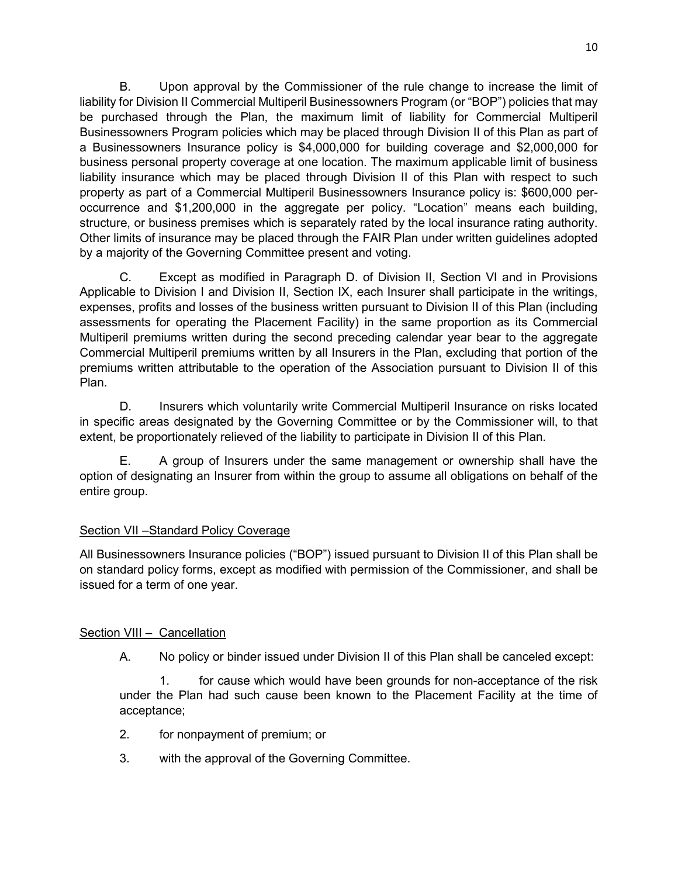B. Upon approval by the Commissioner of the rule change to increase the limit of liability for Division II Commercial Multiperil Businessowners Program (or "BOP") policies that may be purchased through the Plan, the maximum limit of liability for Commercial Multiperil Businessowners Program policies which may be placed through Division II of this Plan as part of a Businessowners Insurance policy is \$4,000,000 for building coverage and \$2,000,000 for business personal property coverage at one location. The maximum applicable limit of business liability insurance which may be placed through Division II of this Plan with respect to such property as part of a Commercial Multiperil Businessowners Insurance policy is: \$600,000 peroccurrence and \$1,200,000 in the aggregate per policy. "Location" means each building, structure, or business premises which is separately rated by the local insurance rating authority. Other limits of insurance may be placed through the FAIR Plan under written guidelines adopted by a majority of the Governing Committee present and voting.

C. Except as modified in Paragraph D. of Division II, Section VI and in Provisions Applicable to Division I and Division II, Section IX, each Insurer shall participate in the writings, expenses, profits and losses of the business written pursuant to Division II of this Plan (including assessments for operating the Placement Facility) in the same proportion as its Commercial Multiperil premiums written during the second preceding calendar year bear to the aggregate Commercial Multiperil premiums written by all Insurers in the Plan, excluding that portion of the premiums written attributable to the operation of the Association pursuant to Division II of this Plan.

D. Insurers which voluntarily write Commercial Multiperil Insurance on risks located in specific areas designated by the Governing Committee or by the Commissioner will, to that extent, be proportionately relieved of the liability to participate in Division II of this Plan.

E. A group of Insurers under the same management or ownership shall have the option of designating an Insurer from within the group to assume all obligations on behalf of the entire group.

## Section VII –Standard Policy Coverage

All Businessowners Insurance policies ("BOP") issued pursuant to Division II of this Plan shall be on standard policy forms, except as modified with permission of the Commissioner, and shall be issued for a term of one year.

## Section VIII - Cancellation

A. No policy or binder issued under Division II of this Plan shall be canceled except:

1. for cause which would have been grounds for non-acceptance of the risk under the Plan had such cause been known to the Placement Facility at the time of acceptance;

- 2. for nonpayment of premium; or
- 3. with the approval of the Governing Committee.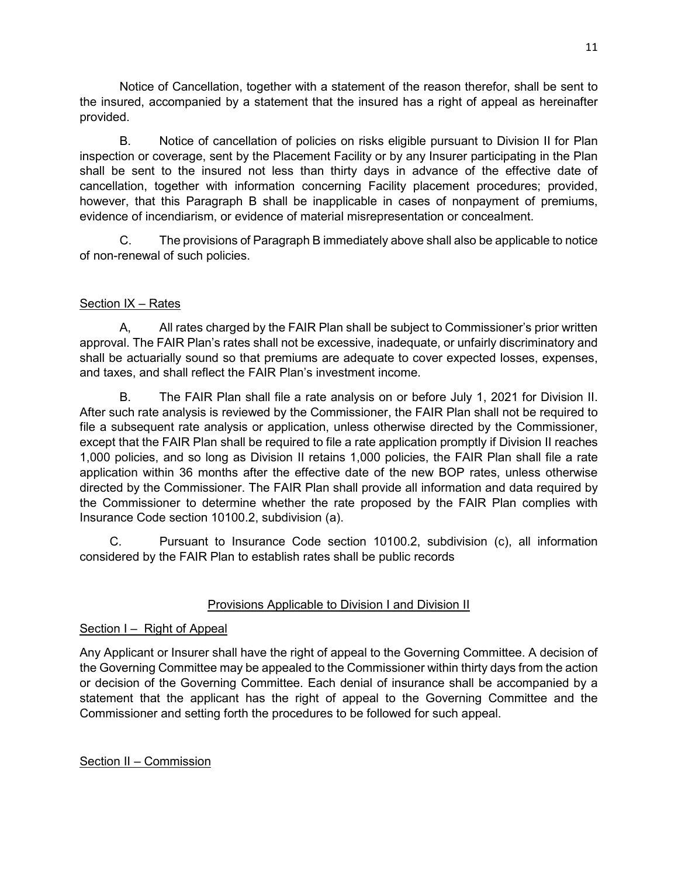Notice of Cancellation, together with a statement of the reason therefor, shall be sent to the insured, accompanied by a statement that the insured has a right of appeal as hereinafter provided.

B. Notice of cancellation of policies on risks eligible pursuant to Division II for Plan inspection or coverage, sent by the Placement Facility or by any Insurer participating in the Plan shall be sent to the insured not less than thirty days in advance of the effective date of cancellation, together with information concerning Facility placement procedures; provided, however, that this Paragraph B shall be inapplicable in cases of nonpayment of premiums, evidence of incendiarism, or evidence of material misrepresentation or concealment.

C. The provisions of Paragraph B immediately above shall also be applicable to notice of non-renewal of such policies.

# Section IX – Rates

A, All rates charged by the FAIR Plan shall be subject to Commissioner's prior written approval. The FAIR Plan's rates shall not be excessive, inadequate, or unfairly discriminatory and shall be actuarially sound so that premiums are adequate to cover expected losses, expenses, and taxes, and shall reflect the FAIR Plan's investment income.

B. The FAIR Plan shall file a rate analysis on or before July 1, 2021 for Division II. After such rate analysis is reviewed by the Commissioner, the FAIR Plan shall not be required to file a subsequent rate analysis or application, unless otherwise directed by the Commissioner, except that the FAIR Plan shall be required to file a rate application promptly if Division II reaches 1,000 policies, and so long as Division II retains 1,000 policies, the FAIR Plan shall file a rate application within 36 months after the effective date of the new BOP rates, unless otherwise directed by the Commissioner. The FAIR Plan shall provide all information and data required by the Commissioner to determine whether the rate proposed by the FAIR Plan complies with Insurance Code section 10100.2, subdivision (a).

C. Pursuant to Insurance Code section 10100.2, subdivision (c), all information considered by the FAIR Plan to establish rates shall be public records

# Provisions Applicable to Division I and Division II

## Section I – Right of Appeal

Any Applicant or Insurer shall have the right of appeal to the Governing Committee. A decision of the Governing Committee may be appealed to the Commissioner within thirty days from the action or decision of the Governing Committee. Each denial of insurance shall be accompanied by a statement that the applicant has the right of appeal to the Governing Committee and the Commissioner and setting forth the procedures to be followed for such appeal.

## Section II – Commission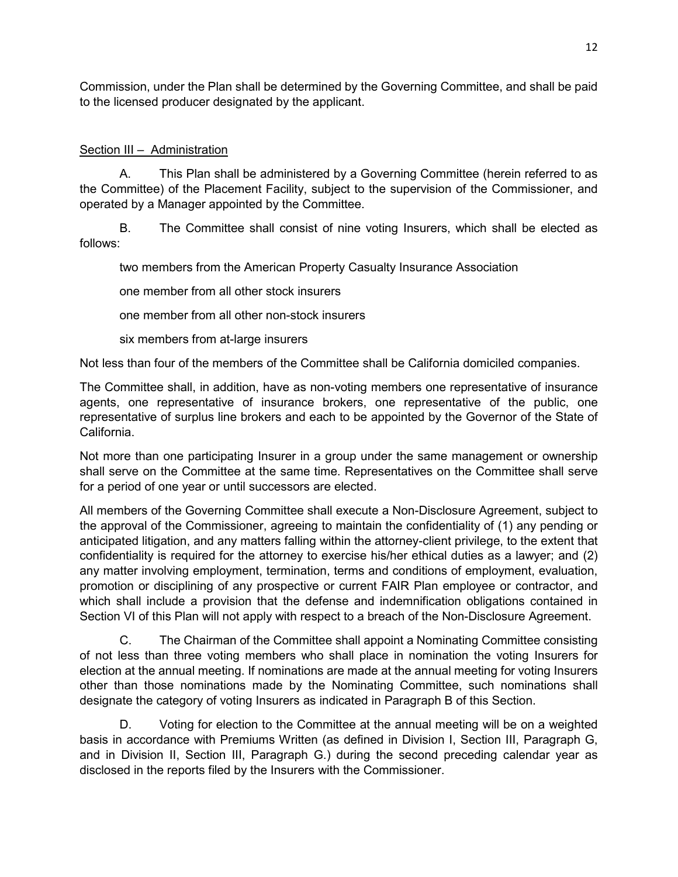Commission, under the Plan shall be determined by the Governing Committee, and shall be paid to the licensed producer designated by the applicant.

## Section III – Administration

A. This Plan shall be administered by a Governing Committee (herein referred to as the Committee) of the Placement Facility, subject to the supervision of the Commissioner, and operated by a Manager appointed by the Committee.

B. The Committee shall consist of nine voting Insurers, which shall be elected as follows:

two members from the American Property Casualty Insurance Association

one member from all other stock insurers

one member from all other non-stock insurers

six members from at-large insurers

Not less than four of the members of the Committee shall be California domiciled companies.

The Committee shall, in addition, have as non-voting members one representative of insurance agents, one representative of insurance brokers, one representative of the public, one representative of surplus line brokers and each to be appointed by the Governor of the State of California.

Not more than one participating Insurer in a group under the same management or ownership shall serve on the Committee at the same time. Representatives on the Committee shall serve for a period of one year or until successors are elected.

All members of the Governing Committee shall execute a Non-Disclosure Agreement, subject to the approval of the Commissioner, agreeing to maintain the confidentiality of (1) any pending or anticipated litigation, and any matters falling within the attorney-client privilege, to the extent that confidentiality is required for the attorney to exercise his/her ethical duties as a lawyer; and (2) any matter involving employment, termination, terms and conditions of employment, evaluation, promotion or disciplining of any prospective or current FAIR Plan employee or contractor, and which shall include a provision that the defense and indemnification obligations contained in Section VI of this Plan will not apply with respect to a breach of the Non-Disclosure Agreement.

C. The Chairman of the Committee shall appoint a Nominating Committee consisting of not less than three voting members who shall place in nomination the voting Insurers for election at the annual meeting. If nominations are made at the annual meeting for voting Insurers other than those nominations made by the Nominating Committee, such nominations shall designate the category of voting Insurers as indicated in Paragraph B of this Section.

D. Voting for election to the Committee at the annual meeting will be on a weighted basis in accordance with Premiums Written (as defined in Division I, Section III, Paragraph G, and in Division II, Section III, Paragraph G.) during the second preceding calendar year as disclosed in the reports filed by the Insurers with the Commissioner.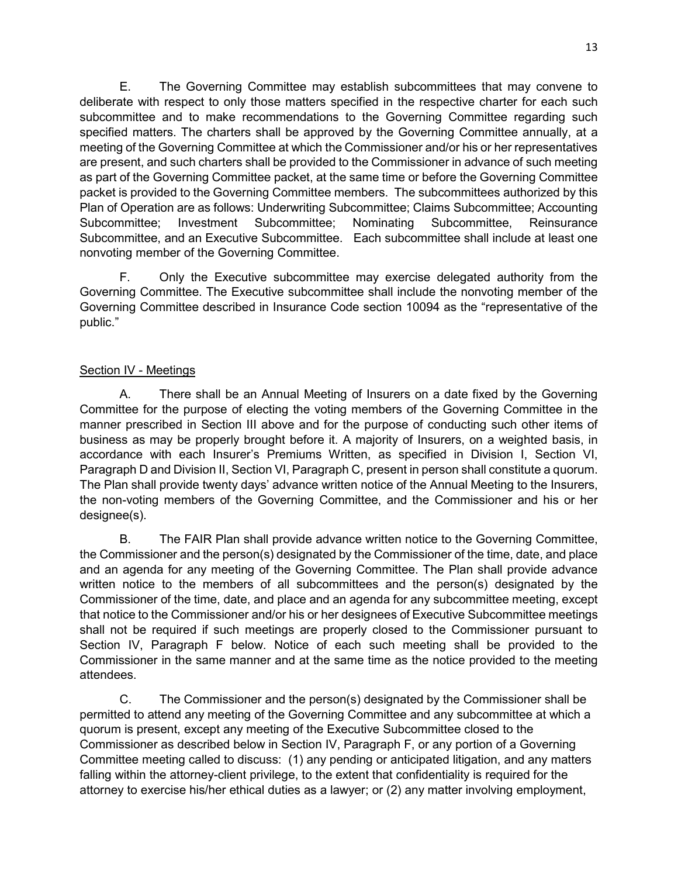E. The Governing Committee may establish subcommittees that may convene to deliberate with respect to only those matters specified in the respective charter for each such subcommittee and to make recommendations to the Governing Committee regarding such specified matters. The charters shall be approved by the Governing Committee annually, at a meeting of the Governing Committee at which the Commissioner and/or his or her representatives are present, and such charters shall be provided to the Commissioner in advance of such meeting as part of the Governing Committee packet, at the same time or before the Governing Committee packet is provided to the Governing Committee members. The subcommittees authorized by this Plan of Operation are as follows: Underwriting Subcommittee; Claims Subcommittee; Accounting Subcommittee; Investment Subcommittee; Nominating Subcommittee, Reinsurance Subcommittee, and an Executive Subcommittee. Each subcommittee shall include at least one nonvoting member of the Governing Committee.

F. Only the Executive subcommittee may exercise delegated authority from the Governing Committee. The Executive subcommittee shall include the nonvoting member of the Governing Committee described in Insurance Code section 10094 as the "representative of the public."

## Section IV - Meetings

A. There shall be an Annual Meeting of Insurers on a date fixed by the Governing Committee for the purpose of electing the voting members of the Governing Committee in the manner prescribed in Section III above and for the purpose of conducting such other items of business as may be properly brought before it. A majority of Insurers, on a weighted basis, in accordance with each Insurer's Premiums Written, as specified in Division I, Section VI, Paragraph D and Division II, Section VI, Paragraph C, present in person shall constitute a quorum. The Plan shall provide twenty days' advance written notice of the Annual Meeting to the Insurers, the non-voting members of the Governing Committee, and the Commissioner and his or her designee(s).

B. The FAIR Plan shall provide advance written notice to the Governing Committee, the Commissioner and the person(s) designated by the Commissioner of the time, date, and place and an agenda for any meeting of the Governing Committee. The Plan shall provide advance written notice to the members of all subcommittees and the person(s) designated by the Commissioner of the time, date, and place and an agenda for any subcommittee meeting, except that notice to the Commissioner and/or his or her designees of Executive Subcommittee meetings shall not be required if such meetings are properly closed to the Commissioner pursuant to Section IV, Paragraph F below. Notice of each such meeting shall be provided to the Commissioner in the same manner and at the same time as the notice provided to the meeting attendees.

C. The Commissioner and the person(s) designated by the Commissioner shall be permitted to attend any meeting of the Governing Committee and any subcommittee at which a quorum is present, except any meeting of the Executive Subcommittee closed to the Commissioner as described below in Section IV, Paragraph F, or any portion of a Governing Committee meeting called to discuss: (1) any pending or anticipated litigation, and any matters falling within the attorney-client privilege, to the extent that confidentiality is required for the attorney to exercise his/her ethical duties as a lawyer; or (2) any matter involving employment,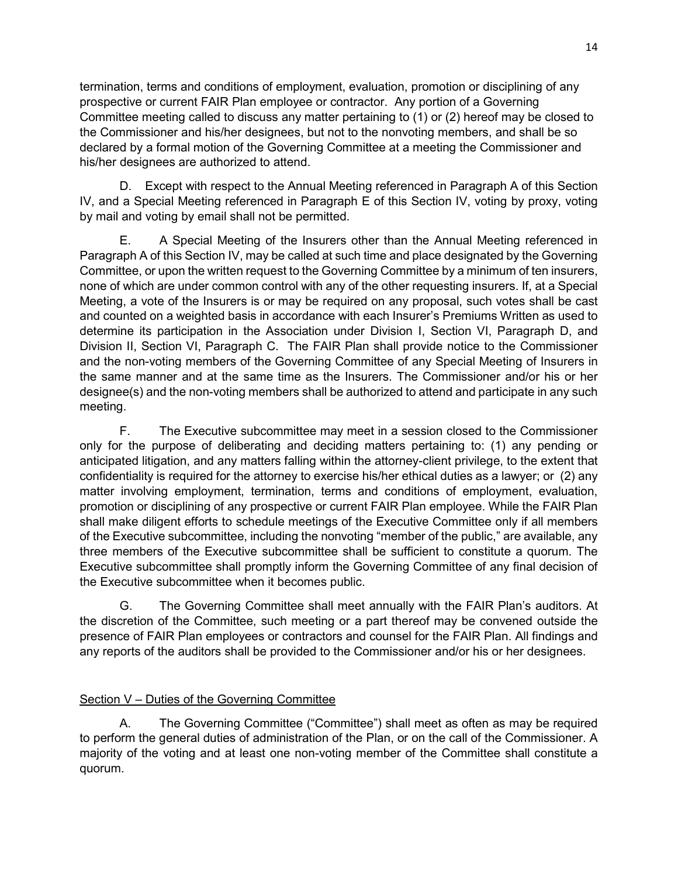termination, terms and conditions of employment, evaluation, promotion or disciplining of any prospective or current FAIR Plan employee or contractor. Any portion of a Governing Committee meeting called to discuss any matter pertaining to (1) or (2) hereof may be closed to the Commissioner and his/her designees, but not to the nonvoting members, and shall be so declared by a formal motion of the Governing Committee at a meeting the Commissioner and his/her designees are authorized to attend.

D. Except with respect to the Annual Meeting referenced in Paragraph A of this Section IV, and a Special Meeting referenced in Paragraph E of this Section IV, voting by proxy, voting by mail and voting by email shall not be permitted.

E. A Special Meeting of the Insurers other than the Annual Meeting referenced in Paragraph A of this Section IV, may be called at such time and place designated by the Governing Committee, or upon the written request to the Governing Committee by a minimum of ten insurers, none of which are under common control with any of the other requesting insurers. If, at a Special Meeting, a vote of the Insurers is or may be required on any proposal, such votes shall be cast and counted on a weighted basis in accordance with each Insurer's Premiums Written as used to determine its participation in the Association under Division I, Section VI, Paragraph D, and Division II, Section VI, Paragraph C. The FAIR Plan shall provide notice to the Commissioner and the non-voting members of the Governing Committee of any Special Meeting of Insurers in the same manner and at the same time as the Insurers. The Commissioner and/or his or her designee(s) and the non-voting members shall be authorized to attend and participate in any such meeting.

F. The Executive subcommittee may meet in a session closed to the Commissioner only for the purpose of deliberating and deciding matters pertaining to: (1) any pending or anticipated litigation, and any matters falling within the attorney-client privilege, to the extent that confidentiality is required for the attorney to exercise his/her ethical duties as a lawyer; or (2) any matter involving employment, termination, terms and conditions of employment, evaluation, promotion or disciplining of any prospective or current FAIR Plan employee. While the FAIR Plan shall make diligent efforts to schedule meetings of the Executive Committee only if all members of the Executive subcommittee, including the nonvoting "member of the public," are available, any three members of the Executive subcommittee shall be sufficient to constitute a quorum. The Executive subcommittee shall promptly inform the Governing Committee of any final decision of the Executive subcommittee when it becomes public.

G. The Governing Committee shall meet annually with the FAIR Plan's auditors. At the discretion of the Committee, such meeting or a part thereof may be convened outside the presence of FAIR Plan employees or contractors and counsel for the FAIR Plan. All findings and any reports of the auditors shall be provided to the Commissioner and/or his or her designees.

# Section V – Duties of the Governing Committee

A. The Governing Committee ("Committee") shall meet as often as may be required to perform the general duties of administration of the Plan, or on the call of the Commissioner. A majority of the voting and at least one non-voting member of the Committee shall constitute a quorum.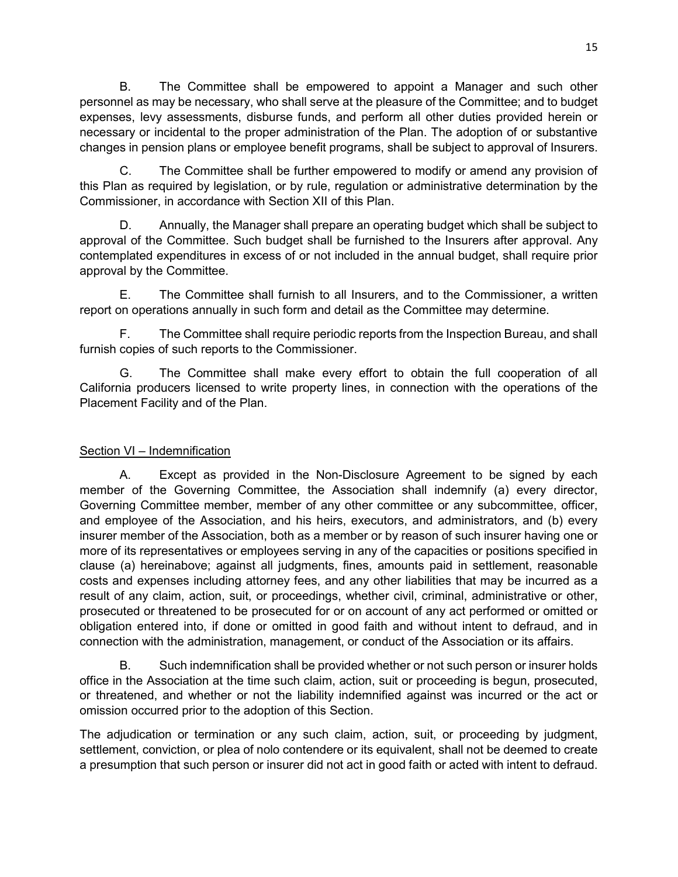B. The Committee shall be empowered to appoint a Manager and such other personnel as may be necessary, who shall serve at the pleasure of the Committee; and to budget expenses, levy assessments, disburse funds, and perform all other duties provided herein or necessary or incidental to the proper administration of the Plan. The adoption of or substantive changes in pension plans or employee benefit programs, shall be subject to approval of Insurers.

C. The Committee shall be further empowered to modify or amend any provision of this Plan as required by legislation, or by rule, regulation or administrative determination by the Commissioner, in accordance with Section XII of this Plan.

D. Annually, the Manager shall prepare an operating budget which shall be subject to approval of the Committee. Such budget shall be furnished to the Insurers after approval. Any contemplated expenditures in excess of or not included in the annual budget, shall require prior approval by the Committee.

E. The Committee shall furnish to all Insurers, and to the Commissioner, a written report on operations annually in such form and detail as the Committee may determine.

F. The Committee shall require periodic reports from the Inspection Bureau, and shall furnish copies of such reports to the Commissioner.

G. The Committee shall make every effort to obtain the full cooperation of all California producers licensed to write property lines, in connection with the operations of the Placement Facility and of the Plan.

# Section VI – Indemnification

A. Except as provided in the Non-Disclosure Agreement to be signed by each member of the Governing Committee, the Association shall indemnify (a) every director, Governing Committee member, member of any other committee or any subcommittee, officer, and employee of the Association, and his heirs, executors, and administrators, and (b) every insurer member of the Association, both as a member or by reason of such insurer having one or more of its representatives or employees serving in any of the capacities or positions specified in clause (a) hereinabove; against all judgments, fines, amounts paid in settlement, reasonable costs and expenses including attorney fees, and any other liabilities that may be incurred as a result of any claim, action, suit, or proceedings, whether civil, criminal, administrative or other, prosecuted or threatened to be prosecuted for or on account of any act performed or omitted or obligation entered into, if done or omitted in good faith and without intent to defraud, and in connection with the administration, management, or conduct of the Association or its affairs.

B. Such indemnification shall be provided whether or not such person or insurer holds office in the Association at the time such claim, action, suit or proceeding is begun, prosecuted, or threatened, and whether or not the liability indemnified against was incurred or the act or omission occurred prior to the adoption of this Section.

The adjudication or termination or any such claim, action, suit, or proceeding by judgment, settlement, conviction, or plea of nolo contendere or its equivalent, shall not be deemed to create a presumption that such person or insurer did not act in good faith or acted with intent to defraud.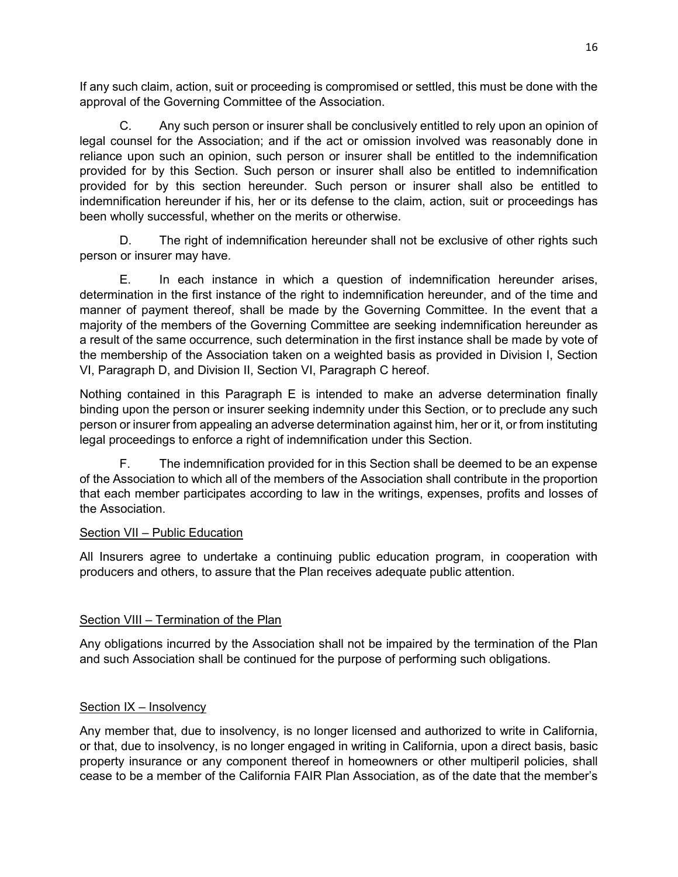If any such claim, action, suit or proceeding is compromised or settled, this must be done with the approval of the Governing Committee of the Association.

C. Any such person or insurer shall be conclusively entitled to rely upon an opinion of legal counsel for the Association; and if the act or omission involved was reasonably done in reliance upon such an opinion, such person or insurer shall be entitled to the indemnification provided for by this Section. Such person or insurer shall also be entitled to indemnification provided for by this section hereunder. Such person or insurer shall also be entitled to indemnification hereunder if his, her or its defense to the claim, action, suit or proceedings has been wholly successful, whether on the merits or otherwise.

D. The right of indemnification hereunder shall not be exclusive of other rights such person or insurer may have.

E. In each instance in which a question of indemnification hereunder arises, determination in the first instance of the right to indemnification hereunder, and of the time and manner of payment thereof, shall be made by the Governing Committee. In the event that a majority of the members of the Governing Committee are seeking indemnification hereunder as a result of the same occurrence, such determination in the first instance shall be made by vote of the membership of the Association taken on a weighted basis as provided in Division I, Section VI, Paragraph D, and Division II, Section VI, Paragraph C hereof.

Nothing contained in this Paragraph E is intended to make an adverse determination finally binding upon the person or insurer seeking indemnity under this Section, or to preclude any such person or insurer from appealing an adverse determination against him, her or it, or from instituting legal proceedings to enforce a right of indemnification under this Section.

F. The indemnification provided for in this Section shall be deemed to be an expense of the Association to which all of the members of the Association shall contribute in the proportion that each member participates according to law in the writings, expenses, profits and losses of the Association.

## Section VII – Public Education

All Insurers agree to undertake a continuing public education program, in cooperation with producers and others, to assure that the Plan receives adequate public attention.

# Section VIII – Termination of the Plan

Any obligations incurred by the Association shall not be impaired by the termination of the Plan and such Association shall be continued for the purpose of performing such obligations.

## Section IX – Insolvency

Any member that, due to insolvency, is no longer licensed and authorized to write in California, or that, due to insolvency, is no longer engaged in writing in California, upon a direct basis, basic property insurance or any component thereof in homeowners or other multiperil policies, shall cease to be a member of the California FAIR Plan Association, as of the date that the member's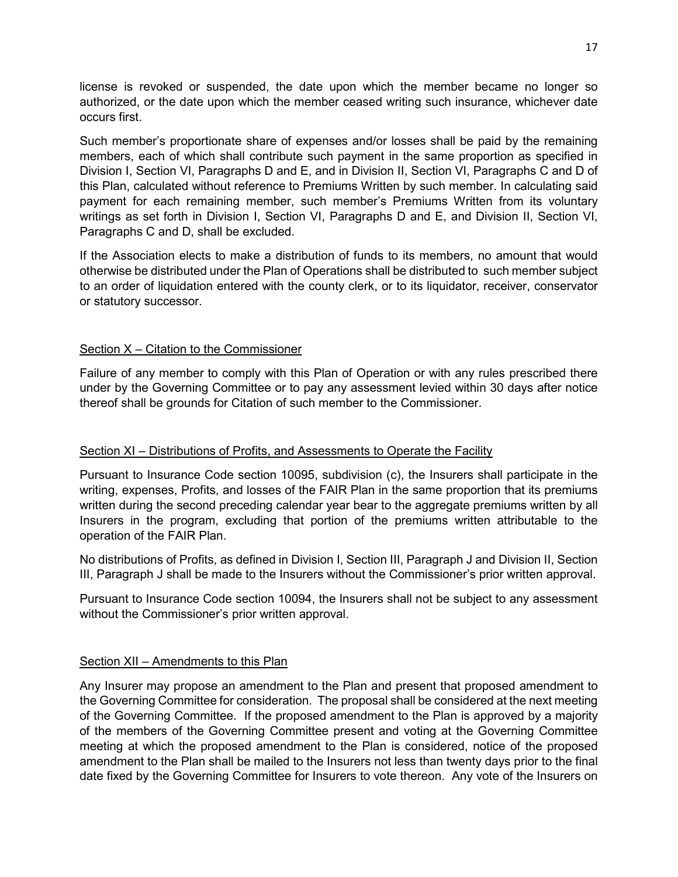license is revoked or suspended, the date upon which the member became no longer so authorized, or the date upon which the member ceased writing such insurance, whichever date occurs first.

Such member's proportionate share of expenses and/or losses shall be paid by the remaining members, each of which shall contribute such payment in the same proportion as specified in Division I, Section VI, Paragraphs D and E, and in Division II, Section VI, Paragraphs C and D of this Plan, calculated without reference to Premiums Written by such member. In calculating said payment for each remaining member, such member's Premiums Written from its voluntary writings as set forth in Division I, Section VI, Paragraphs D and E, and Division II, Section VI, Paragraphs C and D, shall be excluded.

If the Association elects to make a distribution of funds to its members, no amount that would otherwise be distributed under the Plan of Operations shall be distributed to such member subject to an order of liquidation entered with the county clerk, or to its liquidator, receiver, conservator or statutory successor.

#### Section X – Citation to the Commissioner

Failure of any member to comply with this Plan of Operation or with any rules prescribed there under by the Governing Committee or to pay any assessment levied within 30 days after notice thereof shall be grounds for Citation of such member to the Commissioner.

#### Section XI – Distributions of Profits, and Assessments to Operate the Facility

Pursuant to Insurance Code section 10095, subdivision (c), the Insurers shall participate in the writing, expenses, Profits, and losses of the FAIR Plan in the same proportion that its premiums written during the second preceding calendar year bear to the aggregate premiums written by all Insurers in the program, excluding that portion of the premiums written attributable to the operation of the FAIR Plan.

No distributions of Profits, as defined in Division I, Section III, Paragraph J and Division II, Section III, Paragraph J shall be made to the Insurers without the Commissioner's prior written approval.

Pursuant to Insurance Code section 10094, the Insurers shall not be subject to any assessment without the Commissioner's prior written approval.

## Section XII – Amendments to this Plan

Any Insurer may propose an amendment to the Plan and present that proposed amendment to the Governing Committee for consideration. The proposal shall be considered at the next meeting of the Governing Committee. If the proposed amendment to the Plan is approved by a majority of the members of the Governing Committee present and voting at the Governing Committee meeting at which the proposed amendment to the Plan is considered, notice of the proposed amendment to the Plan shall be mailed to the Insurers not less than twenty days prior to the final date fixed by the Governing Committee for Insurers to vote thereon. Any vote of the Insurers on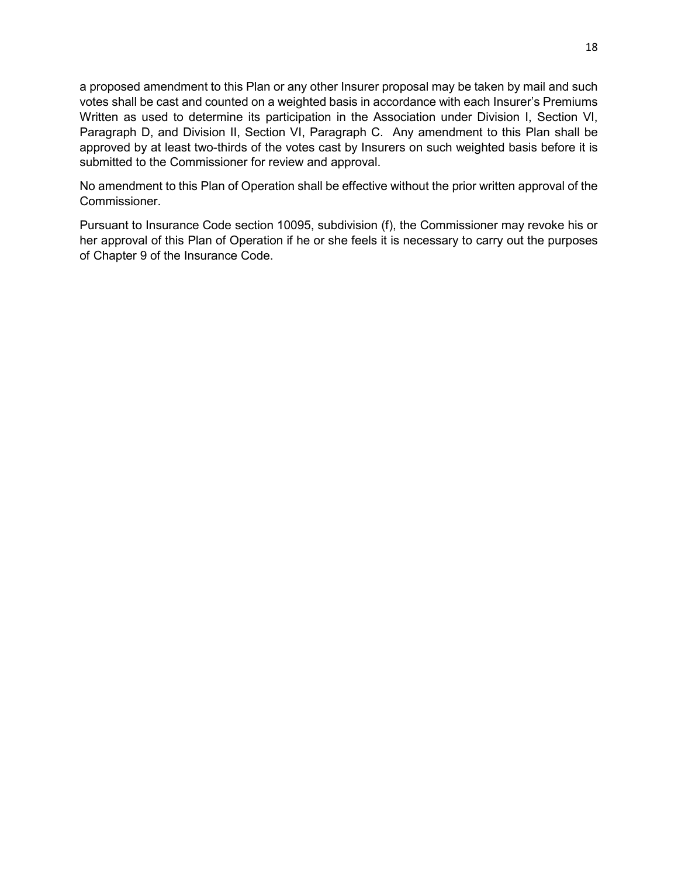a proposed amendment to this Plan or any other Insurer proposal may be taken by mail and such votes shall be cast and counted on a weighted basis in accordance with each Insurer's Premiums Written as used to determine its participation in the Association under Division I, Section VI, Paragraph D, and Division II, Section VI, Paragraph C. Any amendment to this Plan shall be approved by at least two-thirds of the votes cast by Insurers on such weighted basis before it is submitted to the Commissioner for review and approval.

No amendment to this Plan of Operation shall be effective without the prior written approval of the Commissioner.

Pursuant to Insurance Code section 10095, subdivision (f), the Commissioner may revoke his or her approval of this Plan of Operation if he or she feels it is necessary to carry out the purposes of Chapter 9 of the Insurance Code.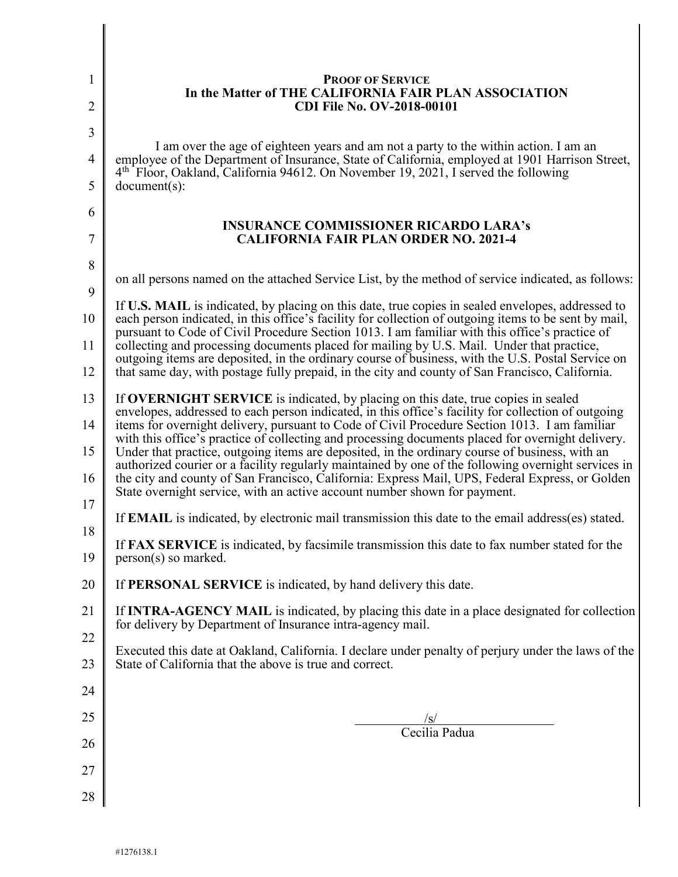| 1                   | <b>PROOF OF SERVICE</b><br>In the Matter of THE CALIFORNIA FAIR PLAN ASSOCIATION                                                                                                                                                                                                                                                                                                               |  |  |  |  |
|---------------------|------------------------------------------------------------------------------------------------------------------------------------------------------------------------------------------------------------------------------------------------------------------------------------------------------------------------------------------------------------------------------------------------|--|--|--|--|
| $\overline{2}$      | <b>CDI File No. OV-2018-00101</b>                                                                                                                                                                                                                                                                                                                                                              |  |  |  |  |
| 3<br>$\overline{4}$ | I am over the age of eighteen years and am not a party to the within action. I am an<br>employee of the Department of Insurance, State of California, employed at 1901 Harrison Street,                                                                                                                                                                                                        |  |  |  |  |
| 5                   | 4 <sup>th</sup> Floor, Oakland, California 94612. On November 19, 2021, I served the following<br>$document(s)$ :                                                                                                                                                                                                                                                                              |  |  |  |  |
| 6                   | <b>INSURANCE COMMISSIONER RICARDO LARA's</b>                                                                                                                                                                                                                                                                                                                                                   |  |  |  |  |
| 7                   | <b>CALIFORNIA FAIR PLAN ORDER NO. 2021-4</b>                                                                                                                                                                                                                                                                                                                                                   |  |  |  |  |
| 8<br>9              | on all persons named on the attached Service List, by the method of service indicated, as follows:                                                                                                                                                                                                                                                                                             |  |  |  |  |
| 10                  | If U.S. MAIL is indicated, by placing on this date, true copies in sealed envelopes, addressed to<br>each person indicated, in this office's facility for collection of outgoing items to be sent by mail,                                                                                                                                                                                     |  |  |  |  |
| 11                  | pursuant to Code of Civil Procedure Section 1013. I am familiar with this office's practice of<br>collecting and processing documents placed for mailing by U.S. Mail. Under that practice,                                                                                                                                                                                                    |  |  |  |  |
| 12                  | outgoing items are deposited, in the ordinary course of business, with the U.S. Postal Service on<br>that same day, with postage fully prepaid, in the city and county of San Francisco, California.                                                                                                                                                                                           |  |  |  |  |
| 13                  | If OVERNIGHT SERVICE is indicated, by placing on this date, true copies in sealed<br>envelopes, addressed to each person indicated, in this office's facility for collection of outgoing<br>items for overnight delivery, pursuant to Code of Civil Procedure Section 1013. I am familiar<br>with this office's practice of collecting and processing documents placed for overnight delivery. |  |  |  |  |
| 14                  |                                                                                                                                                                                                                                                                                                                                                                                                |  |  |  |  |
| 15<br>16            | Under that practice, outgoing items are deposited, in the ordinary course of business, with an<br>authorized courier or a facility regularly maintained by one of the following overnight services in<br>the city and county of San Francisco, California: Express Mail, UPS, Federal Express, or Golden                                                                                       |  |  |  |  |
| 17                  | State overnight service, with an active account number shown for payment.<br>If <b>EMAIL</b> is indicated, by electronic mail transmission this date to the email address(es) stated.                                                                                                                                                                                                          |  |  |  |  |
| 18<br>19            | If FAX SERVICE is indicated, by facsimile transmission this date to fax number stated for the<br>person(s) so marked.                                                                                                                                                                                                                                                                          |  |  |  |  |
| 20                  | If PERSONAL SERVICE is indicated, by hand delivery this date.                                                                                                                                                                                                                                                                                                                                  |  |  |  |  |
| 21                  | If <b>INTRA-AGENCY MAIL</b> is indicated, by placing this date in a place designated for collection<br>for delivery by Department of Insurance intra-agency mail.                                                                                                                                                                                                                              |  |  |  |  |
| 22<br>23            | Executed this date at Oakland, California. I declare under penalty of perjury under the laws of the<br>State of California that the above is true and correct.                                                                                                                                                                                                                                 |  |  |  |  |
| 24                  |                                                                                                                                                                                                                                                                                                                                                                                                |  |  |  |  |
| 25                  |                                                                                                                                                                                                                                                                                                                                                                                                |  |  |  |  |
| 26                  | $\frac{ s }{\text{Cecilia Padua}}$                                                                                                                                                                                                                                                                                                                                                             |  |  |  |  |
| 27                  |                                                                                                                                                                                                                                                                                                                                                                                                |  |  |  |  |
| 28                  |                                                                                                                                                                                                                                                                                                                                                                                                |  |  |  |  |